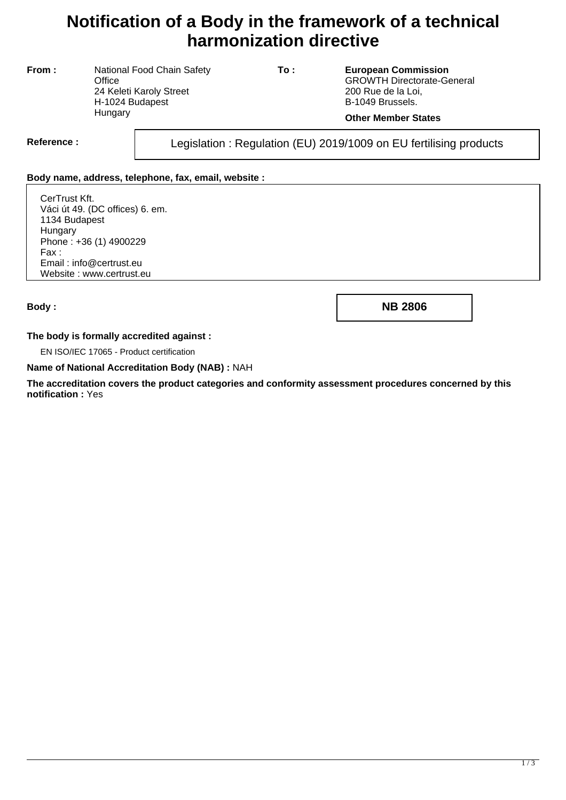# **Notification of a Body in the framework of a technical harmonization directive**

**From :** National Food Chain Safety **Office** 24 Keleti Karoly Street H-1024 Budapest **Hungary** 

**To : European Commission** GROWTH Directorate-General 200 Rue de la Loi, B-1049 Brussels.

#### **Other Member States**

Reference : Legislation : Regulation (EU) 2019/1009 on EU fertilising products

### **Body name, address, telephone, fax, email, website :**

CerTrust Kft. Váci út 49. (DC offices) 6. em. 1134 Budapest Hungary Phone : +36 (1) 4900229 Fax : Email : info@certrust.eu Website : www.certrust.eu

**Body : NB 2806**

#### **The body is formally accredited against :**

EN ISO/IEC 17065 - Product certification

#### **Name of National Accreditation Body (NAB) :** NAH

**The accreditation covers the product categories and conformity assessment procedures concerned by this notification :** Yes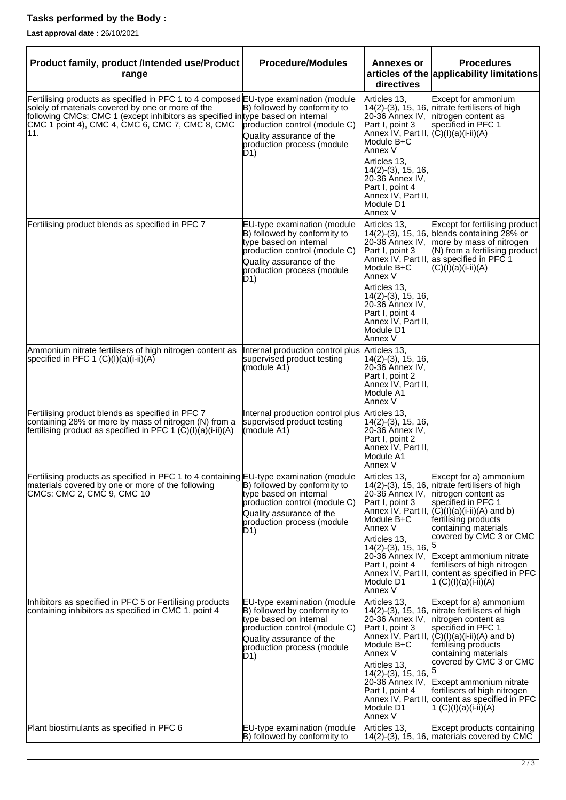## **Tasks performed by the Body :**

**Last approval date :** 26/10/2021

| Product family, product /Intended use/Product<br>range                                                                                                                                                                                                                                 | <b>Procedure/Modules</b>                                                                                                                                                                          | <b>Annexes or</b><br>directives                                                                                                                                                                                               | <b>Procedures</b><br>articles of the applicability limitations                                                                                                                                                                                                                                                                                                                                                               |
|----------------------------------------------------------------------------------------------------------------------------------------------------------------------------------------------------------------------------------------------------------------------------------------|---------------------------------------------------------------------------------------------------------------------------------------------------------------------------------------------------|-------------------------------------------------------------------------------------------------------------------------------------------------------------------------------------------------------------------------------|------------------------------------------------------------------------------------------------------------------------------------------------------------------------------------------------------------------------------------------------------------------------------------------------------------------------------------------------------------------------------------------------------------------------------|
| Fertilising products as specified in PFC 1 to 4 composed EU-type examination (module<br>solely of materials covered by one or more of the<br>following CMCs: CMC 1 (except inhibitors as specified in type based on internal<br>CMC 1 point 4), CMC 4, CMC 6, CMC 7, CMC 8, CMC<br>11. | B) followed by conformity to<br>production control (module C)<br>Quality assurance of the<br>production process (module<br>D1)                                                                    | Articles 13,<br>Part I, point 3<br>Annex IV, Part II, (C)(I)(a)(i-ii)(A)<br>Module B+C<br>Annex V<br>Articles 13,<br>$14(2)-(3), 15, 16,$<br>20-36 Annex IV,<br>Part I, point 4<br>Annex IV, Part II,<br>Module D1<br>Annex V | Except for ammonium<br>$14(2)-(3)$ , 15, 16, nitrate fertilisers of high<br>20-36 Annex IV, nitrogen content as<br>specified in PFC 1                                                                                                                                                                                                                                                                                        |
| Fertilising product blends as specified in PFC 7                                                                                                                                                                                                                                       | <b>EU-type examination (module</b><br>B) followed by conformity to<br>type based on internal<br>production control (module C)<br>Quality assurance of the<br>production process (module<br>$D$ 1) | Articles 13,<br>Part I, point 3<br>Module B+C<br>Annex V<br>Articles 13,<br>$14(2)-(3), 15, 16,$<br>20-36 Annex IV,<br>Part I, point 4<br>Annex IV, Part II,<br>Module D1<br>Annex V                                          | Except for fertilising product<br>14(2)-(3), 15, 16, blends containing 28% or<br>20-36 Annex IV, more by mass of nitrogen<br>(N) from a fertilising product<br>Annex IV, Part II, as specified in PFC 1<br>$(C)(I)(a)(I-II)(A)$                                                                                                                                                                                              |
| Ammonium nitrate fertilisers of high nitrogen content as<br>specified in PFC 1 $(C)(I)(a)(i-ii)(A)$                                                                                                                                                                                    | Internal production control plus<br>supervised product testing<br>(module A1)                                                                                                                     | Articles 13,<br> 14(2)-(3), 15, 16,<br>20-36 Annex IV,<br>Part I, point 2<br>Annex IV, Part II,<br>Module A1<br>Annex V                                                                                                       |                                                                                                                                                                                                                                                                                                                                                                                                                              |
| Fertilising product blends as specified in PFC 7<br>containing 28% or more by mass of nitrogen (N) from a<br>fertilising product as specified in PFC 1 $(\tilde{C})(I)(a)(I-iI)(A)$                                                                                                    | Internal production control plus<br>supervised product testing<br>(module A1)                                                                                                                     | Articles 13,<br> 14(2)-(3), 15, 16,<br>20-36 Annex IV,<br>Part I, point 2<br>Annex IV, Part II,<br>Module A1<br>Annex V                                                                                                       |                                                                                                                                                                                                                                                                                                                                                                                                                              |
| Fertilising products as specified in PFC 1 to 4 containing EU-type examination (module<br>materials covered by one or more of the following<br>CMCs: CMC 2, CMC 9, CMC 10                                                                                                              | B) followed by conformity to<br>type based on internal<br>production control (module C)<br>Quality assurance of the<br>production process (module<br>D1)                                          | Articles 13,<br>Part I, point 3<br>Module B+C<br>Annex V<br>Articles 13,<br>$14(2)-(3), 15, 16,$<br>Part I, point 4<br>Module D1<br>Annex V                                                                                   | Except for a) ammonium<br>$14(2)-(3)$ , 15, 16, nitrate fertilisers of high<br>20-36 Annex IV, nitrogen content as<br>specified in PFC 1<br>Annex IV, Part II, $(C)(I)(a)(i-ii)(A)$ and b)<br>fertilising products<br>containing materials<br>covered by CMC 3 or CMC<br>20-36 Annex IV, Except ammonium nitrate<br>fertilisers of high nitrogen<br>Annex IV, Part II, content as specified in PFC<br>1 $(C)(I)(a)(I-iI)(A)$ |
| Inhibitors as specified in PFC 5 or Fertilising products<br>containing inhibitors as specified in CMC 1, point 4                                                                                                                                                                       | EU-type examination (module<br>B) followed by conformity to<br>type based on internal<br>production control (module C)<br>Quality assurance of the<br>production process (module<br>D1)           | Articles 13,<br>Part I, point 3<br>Module B+C<br>Annex V<br>Articles 13,<br>14(2)-(3), 15, 16,<br>Part I, point 4<br>Module D1<br>Annex V                                                                                     | Except for a) ammonium<br>14(2)-(3), 15, 16, nitrate fertilisers of high<br>20-36 Annex IV, nitrogen content as<br>specified in PFC 1<br>Annex IV, Part II, $(C)(I)(a)(I-iI)(A)$ and b)<br>fertilising products<br>containing materials<br>covered by CMC 3 or CMC<br>20-36 Annex IV, Except ammonium nitrate<br>fertilisers of high nitrogen<br>Annex IV, Part II, content as specified in PFC<br> 1 (C)(I)(a)(i-ii)(A)     |
| Plant biostimulants as specified in PFC 6                                                                                                                                                                                                                                              | <b>EU-type examination (module</b><br>B) followed by conformity to                                                                                                                                | Articles 13,                                                                                                                                                                                                                  | Except products containing<br>14(2)-(3), 15, 16, materials covered by CMC                                                                                                                                                                                                                                                                                                                                                    |